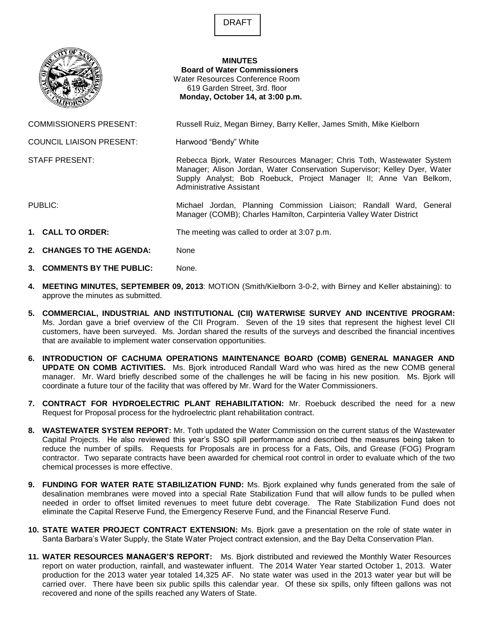DRAFT



## **MINUTES Board of Water Commissioners** Water Resources Conference Room 619 Garden Street, 3rd. floor **Monday, October 14, at 3:00 p.m.**

COMMISSIONERS PRESENT: Russell Ruiz, Megan Birney, Barry Keller, James Smith, Mike Kielborn

Manager; Alison Jordan, Water Conservation Supervisor; Kelley Dyer, Water Supply Analyst; Bob Roebuck, Project Manager II; Anne Van Belkom,

Manager (COMB); Charles Hamilton, Carpinteria Valley Water District

COUNCIL LIAISON PRESENT: Harwood "Bendy" White

Administrative Assistant

STAFF PRESENT: Rebecca Bjork, Water Resources Manager; Chris Toth, Wastewater System

PUBLIC: Michael Jordan, Planning Commission Liaison; Randall Ward, General

- **1. CALL TO ORDER:** The meeting was called to order at 3:07 p.m.
- **2. CHANGES TO THE AGENDA:** None
- **3. COMMENTS BY THE PUBLIC:** None.
- **4. MEETING MINUTES, SEPTEMBER 09, 2013**: MOTION (Smith/Kielborn 3-0-2, with Birney and Keller abstaining): to approve the minutes as submitted.
- **5. COMMERCIAL, INDUSTRIAL AND INSTITUTIONAL (CII) WATERWISE SURVEY AND INCENTIVE PROGRAM:**  Ms. Jordan gave a brief overview of the CII Program. Seven of the 19 sites that represent the highest level CII customers, have been surveyed. Ms. Jordan shared the results of the surveys and described the financial incentives that are available to implement water conservation opportunities.
- **6. INTRODUCTION OF CACHUMA OPERATIONS MAINTENANCE BOARD (COMB) GENERAL MANAGER AND UPDATE ON COMB ACTIVITIES.** Ms. Bjork introduced Randall Ward who was hired as the new COMB general manager. Mr. Ward briefly described some of the challenges he will be facing in his new position. Ms. Bjork will coordinate a future tour of the facility that was offered by Mr. Ward for the Water Commissioners.
- **7. CONTRACT FOR HYDROELECTRIC PLANT REHABILITATION:** Mr. Roebuck described the need for a new Request for Proposal process for the hydroelectric plant rehabilitation contract.
- **8. WASTEWATER SYSTEM REPORT:** Mr. Toth updated the Water Commission on the current status of the Wastewater Capital Projects. He also reviewed this year's SSO spill performance and described the measures being taken to reduce the number of spills. Requests for Proposals are in process for a Fats, Oils, and Grease (FOG) Program contractor. Two separate contracts have been awarded for chemical root control in order to evaluate which of the two chemical processes is more effective.
- **9. FUNDING FOR WATER RATE STABILIZATION FUND:** Ms. Bjork explained why funds generated from the sale of desalination membranes were moved into a special Rate Stabilization Fund that will allow funds to be pulled when needed in order to offset limited revenues to meet future debt coverage. The Rate Stabilization Fund does not eliminate the Capital Reserve Fund, the Emergency Reserve Fund, and the Financial Reserve Fund.
- **10. STATE WATER PROJECT CONTRACT EXTENSION:** Ms. Bjork gave a presentation on the role of state water in Santa Barbara's Water Supply, the State Water Project contract extension, and the Bay Delta Conservation Plan.
- **11. WATER RESOURCES MANAGER'S REPORT:** Ms. Bjork distributed and reviewed the Monthly Water Resources report on water production, rainfall, and wastewater influent. The 2014 Water Year started October 1, 2013. Water production for the 2013 water year totaled 14,325 AF. No state water was used in the 2013 water year but will be carried over. There have been six public spills this calendar year. Of these six spills, only fifteen gallons was not recovered and none of the spills reached any Waters of State.